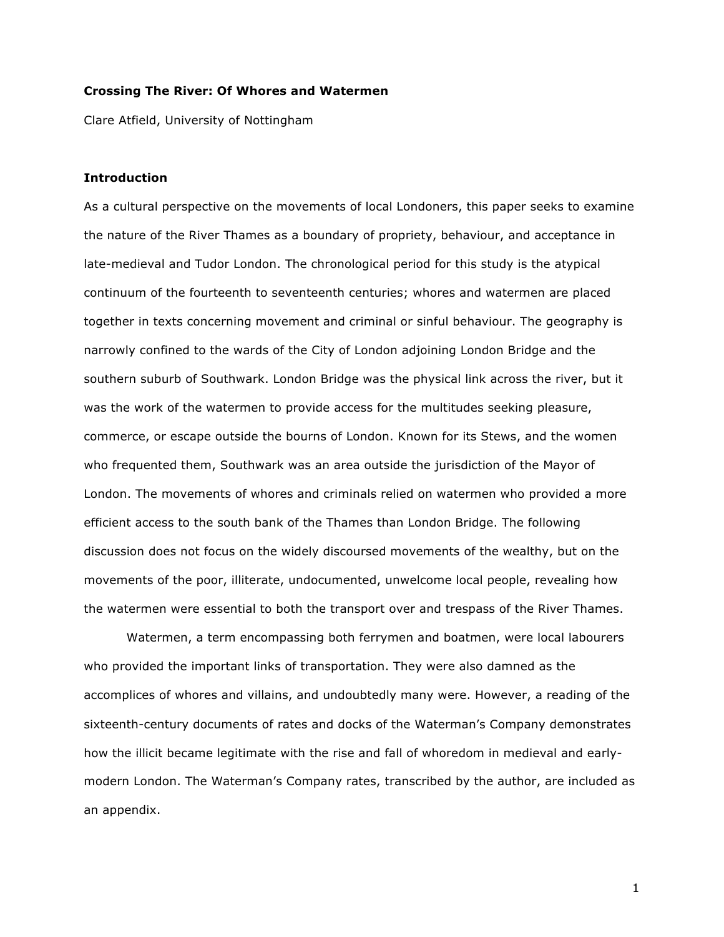## **Crossing The River: Of Whores and Watermen**

Clare Atfield, University of Nottingham

#### **Introduction**

As a cultural perspective on the movements of local Londoners, this paper seeks to examine the nature of the River Thames as a boundary of propriety, behaviour, and acceptance in late-medieval and Tudor London. The chronological period for this study is the atypical continuum of the fourteenth to seventeenth centuries; whores and watermen are placed together in texts concerning movement and criminal or sinful behaviour. The geography is narrowly confined to the wards of the City of London adjoining London Bridge and the southern suburb of Southwark. London Bridge was the physical link across the river, but it was the work of the watermen to provide access for the multitudes seeking pleasure, commerce, or escape outside the bourns of London. Known for its Stews, and the women who frequented them, Southwark was an area outside the jurisdiction of the Mayor of London. The movements of whores and criminals relied on watermen who provided a more efficient access to the south bank of the Thames than London Bridge. The following discussion does not focus on the widely discoursed movements of the wealthy, but on the movements of the poor, illiterate, undocumented, unwelcome local people, revealing how the watermen were essential to both the transport over and trespass of the River Thames.

Watermen, a term encompassing both ferrymen and boatmen, were local labourers who provided the important links of transportation. They were also damned as the accomplices of whores and villains, and undoubtedly many were. However, a reading of the sixteenth-century documents of rates and docks of the Waterman's Company demonstrates how the illicit became legitimate with the rise and fall of whoredom in medieval and earlymodern London. The Waterman's Company rates, transcribed by the author, are included as an appendix.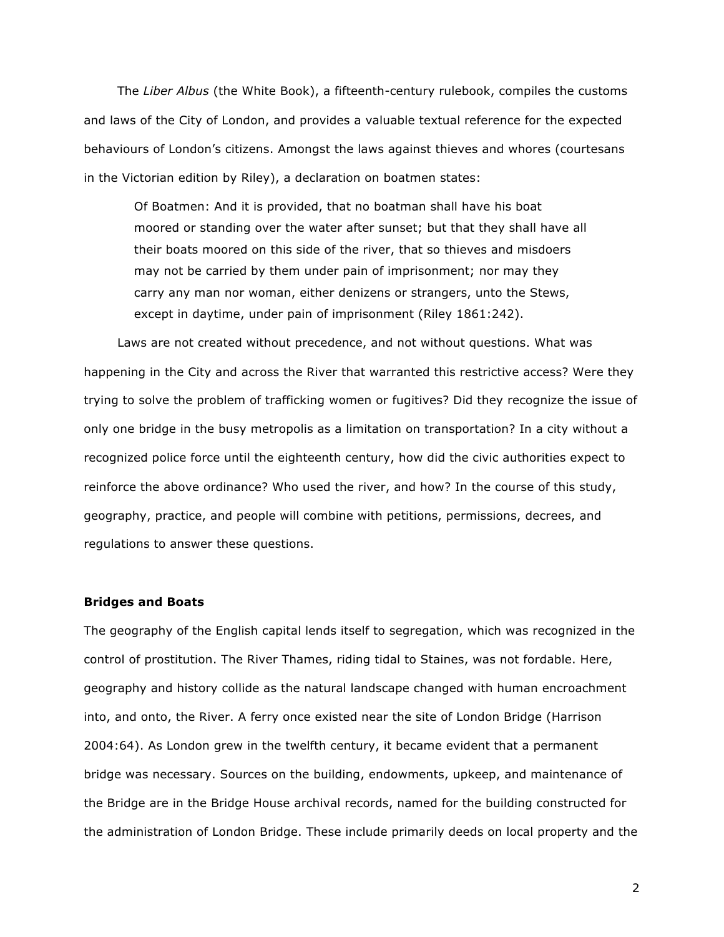The *Liber Albus* (the White Book), a fifteenth-century rulebook, compiles the customs and laws of the City of London, and provides a valuable textual reference for the expected behaviours of London's citizens. Amongst the laws against thieves and whores (courtesans in the Victorian edition by Riley), a declaration on boatmen states:

Of Boatmen: And it is provided, that no boatman shall have his boat moored or standing over the water after sunset; but that they shall have all their boats moored on this side of the river, that so thieves and misdoers may not be carried by them under pain of imprisonment; nor may they carry any man nor woman, either denizens or strangers, unto the Stews, except in daytime, under pain of imprisonment (Riley 1861:242).

Laws are not created without precedence, and not without questions. What was happening in the City and across the River that warranted this restrictive access? Were they trying to solve the problem of trafficking women or fugitives? Did they recognize the issue of only one bridge in the busy metropolis as a limitation on transportation? In a city without a recognized police force until the eighteenth century, how did the civic authorities expect to reinforce the above ordinance? Who used the river, and how? In the course of this study, geography, practice, and people will combine with petitions, permissions, decrees, and regulations to answer these questions.

#### **Bridges and Boats**

The geography of the English capital lends itself to segregation, which was recognized in the control of prostitution. The River Thames, riding tidal to Staines, was not fordable. Here, geography and history collide as the natural landscape changed with human encroachment into, and onto, the River. A ferry once existed near the site of London Bridge (Harrison 2004:64). As London grew in the twelfth century, it became evident that a permanent bridge was necessary. Sources on the building, endowments, upkeep, and maintenance of the Bridge are in the Bridge House archival records, named for the building constructed for the administration of London Bridge. These include primarily deeds on local property and the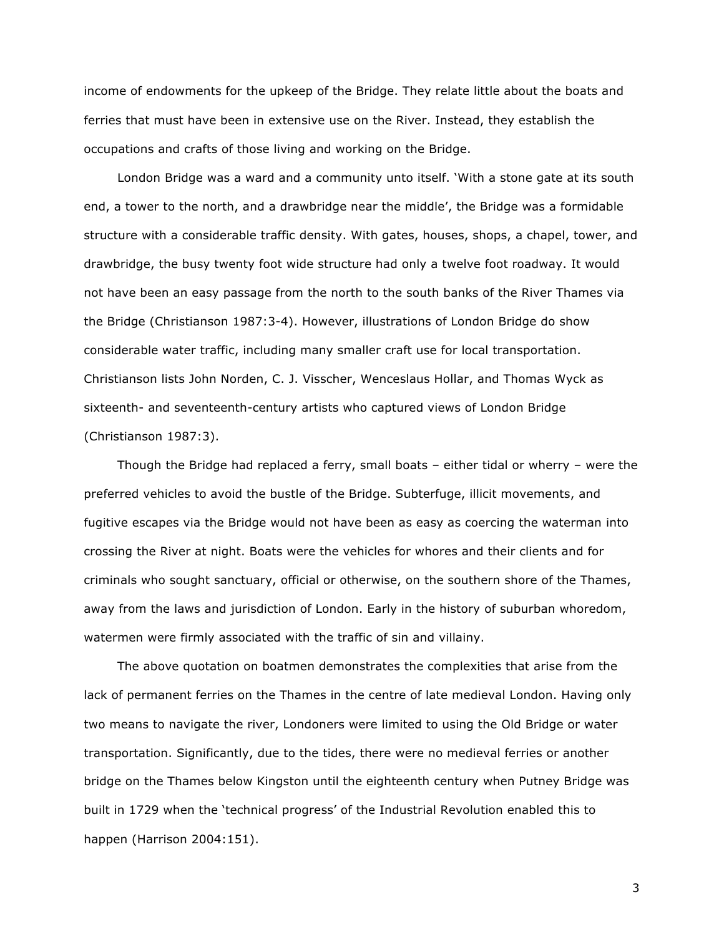income of endowments for the upkeep of the Bridge. They relate little about the boats and ferries that must have been in extensive use on the River. Instead, they establish the occupations and crafts of those living and working on the Bridge.

London Bridge was a ward and a community unto itself. 'With a stone gate at its south end, a tower to the north, and a drawbridge near the middle', the Bridge was a formidable structure with a considerable traffic density. With gates, houses, shops, a chapel, tower, and drawbridge, the busy twenty foot wide structure had only a twelve foot roadway. It would not have been an easy passage from the north to the south banks of the River Thames via the Bridge (Christianson 1987:3-4). However, illustrations of London Bridge do show considerable water traffic, including many smaller craft use for local transportation. Christianson lists John Norden, C. J. Visscher, Wenceslaus Hollar, and Thomas Wyck as sixteenth- and seventeenth-century artists who captured views of London Bridge (Christianson 1987:3).

Though the Bridge had replaced a ferry, small boats – either tidal or wherry – were the preferred vehicles to avoid the bustle of the Bridge. Subterfuge, illicit movements, and fugitive escapes via the Bridge would not have been as easy as coercing the waterman into crossing the River at night. Boats were the vehicles for whores and their clients and for criminals who sought sanctuary, official or otherwise, on the southern shore of the Thames, away from the laws and jurisdiction of London. Early in the history of suburban whoredom, watermen were firmly associated with the traffic of sin and villainy.

The above quotation on boatmen demonstrates the complexities that arise from the lack of permanent ferries on the Thames in the centre of late medieval London. Having only two means to navigate the river, Londoners were limited to using the Old Bridge or water transportation. Significantly, due to the tides, there were no medieval ferries or another bridge on the Thames below Kingston until the eighteenth century when Putney Bridge was built in 1729 when the 'technical progress' of the Industrial Revolution enabled this to happen (Harrison 2004:151).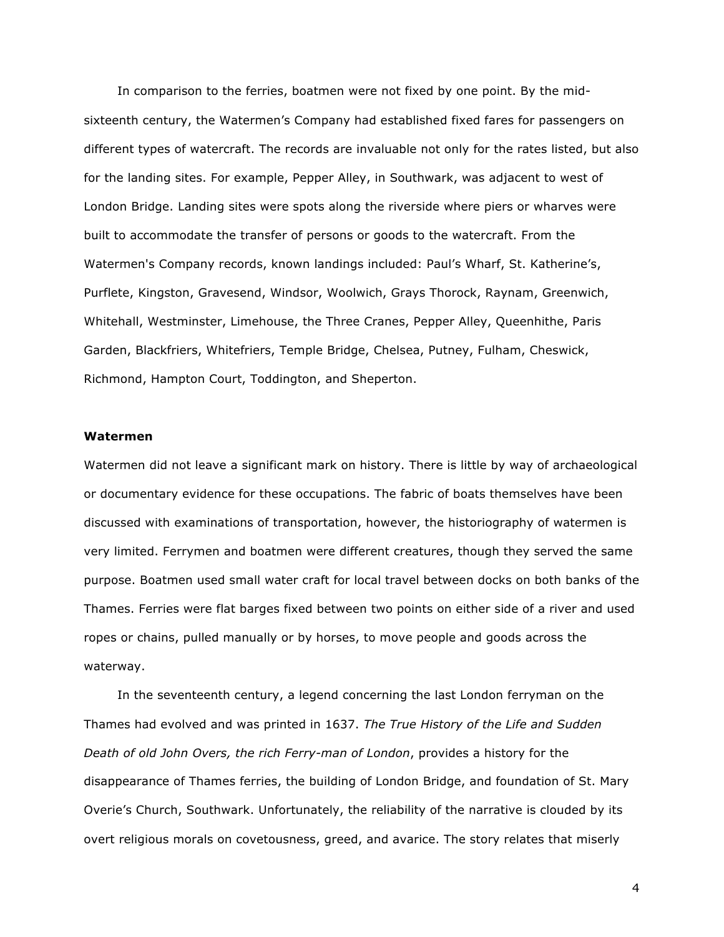In comparison to the ferries, boatmen were not fixed by one point. By the midsixteenth century, the Watermen's Company had established fixed fares for passengers on different types of watercraft. The records are invaluable not only for the rates listed, but also for the landing sites. For example, Pepper Alley, in Southwark, was adjacent to west of London Bridge. Landing sites were spots along the riverside where piers or wharves were built to accommodate the transfer of persons or goods to the watercraft. From the Watermen's Company records, known landings included: Paul's Wharf, St. Katherine's, Purflete, Kingston, Gravesend, Windsor, Woolwich, Grays Thorock, Raynam, Greenwich, Whitehall, Westminster, Limehouse, the Three Cranes, Pepper Alley, Queenhithe, Paris Garden, Blackfriers, Whitefriers, Temple Bridge, Chelsea, Putney, Fulham, Cheswick, Richmond, Hampton Court, Toddington, and Sheperton.

### **Watermen**

Watermen did not leave a significant mark on history. There is little by way of archaeological or documentary evidence for these occupations. The fabric of boats themselves have been discussed with examinations of transportation, however, the historiography of watermen is very limited. Ferrymen and boatmen were different creatures, though they served the same purpose. Boatmen used small water craft for local travel between docks on both banks of the Thames. Ferries were flat barges fixed between two points on either side of a river and used ropes or chains, pulled manually or by horses, to move people and goods across the waterway.

In the seventeenth century, a legend concerning the last London ferryman on the Thames had evolved and was printed in 1637. *The True History of the Life and Sudden Death of old John Overs, the rich Ferry-man of London*, provides a history for the disappearance of Thames ferries, the building of London Bridge, and foundation of St. Mary Overie's Church, Southwark. Unfortunately, the reliability of the narrative is clouded by its overt religious morals on covetousness, greed, and avarice. The story relates that miserly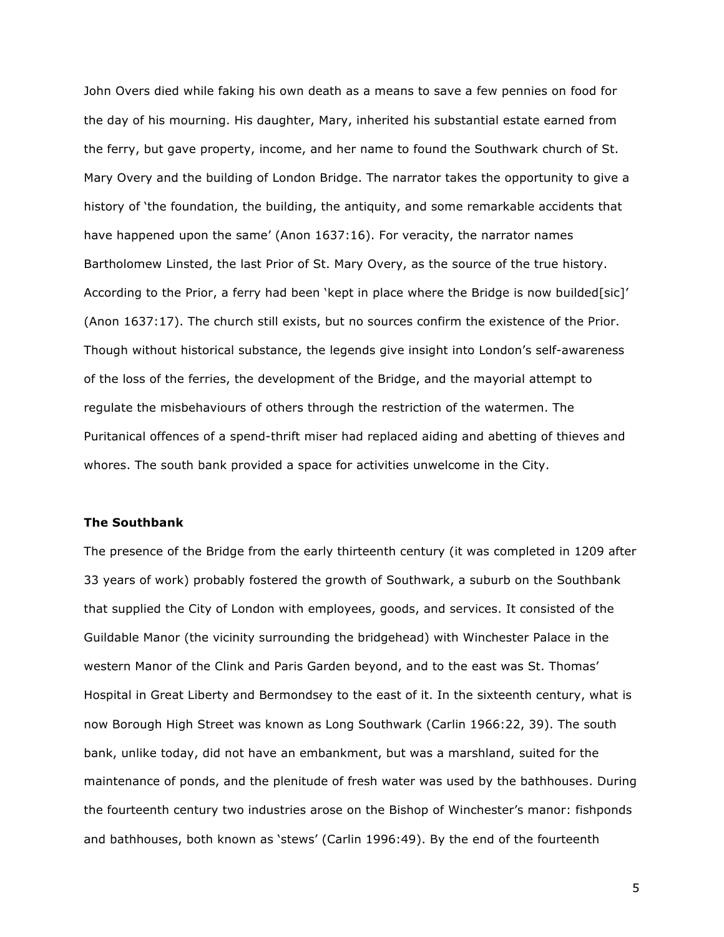John Overs died while faking his own death as a means to save a few pennies on food for the day of his mourning. His daughter, Mary, inherited his substantial estate earned from the ferry, but gave property, income, and her name to found the Southwark church of St. Mary Overy and the building of London Bridge. The narrator takes the opportunity to give a history of 'the foundation, the building, the antiquity, and some remarkable accidents that have happened upon the same' (Anon 1637:16). For veracity, the narrator names Bartholomew Linsted, the last Prior of St. Mary Overy, as the source of the true history. According to the Prior, a ferry had been 'kept in place where the Bridge is now builded[sic]' (Anon 1637:17). The church still exists, but no sources confirm the existence of the Prior. Though without historical substance, the legends give insight into London's self-awareness of the loss of the ferries, the development of the Bridge, and the mayorial attempt to regulate the misbehaviours of others through the restriction of the watermen. The Puritanical offences of a spend-thrift miser had replaced aiding and abetting of thieves and whores. The south bank provided a space for activities unwelcome in the City.

#### **The Southbank**

The presence of the Bridge from the early thirteenth century (it was completed in 1209 after 33 years of work) probably fostered the growth of Southwark, a suburb on the Southbank that supplied the City of London with employees, goods, and services. It consisted of the Guildable Manor (the vicinity surrounding the bridgehead) with Winchester Palace in the western Manor of the Clink and Paris Garden beyond, and to the east was St. Thomas' Hospital in Great Liberty and Bermondsey to the east of it. In the sixteenth century, what is now Borough High Street was known as Long Southwark (Carlin 1966:22, 39). The south bank, unlike today, did not have an embankment, but was a marshland, suited for the maintenance of ponds, and the plenitude of fresh water was used by the bathhouses. During the fourteenth century two industries arose on the Bishop of Winchester's manor: fishponds and bathhouses, both known as 'stews' (Carlin 1996:49). By the end of the fourteenth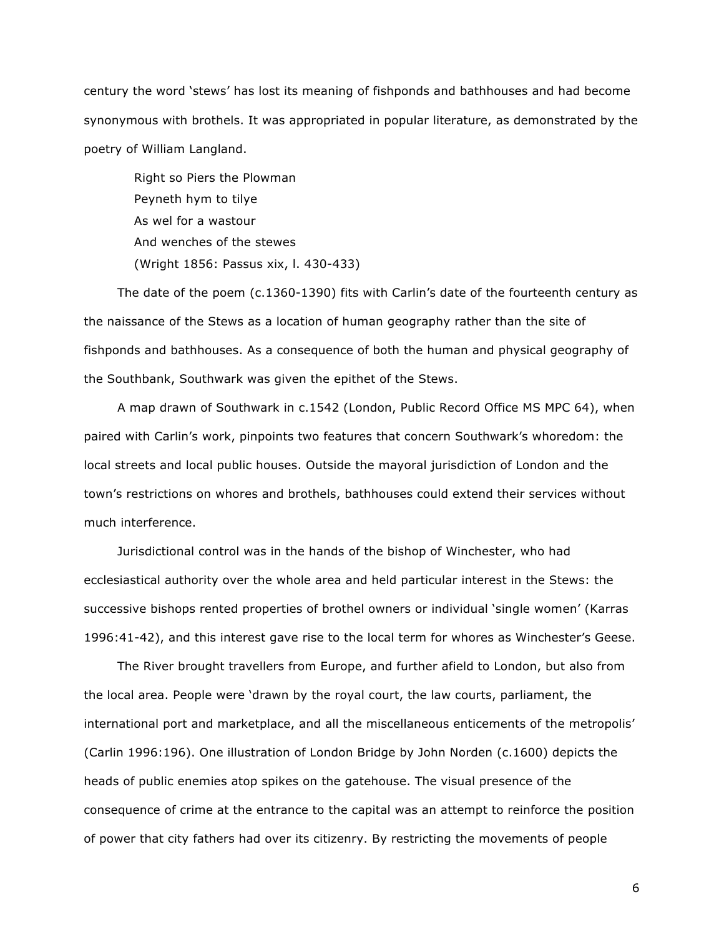century the word 'stews' has lost its meaning of fishponds and bathhouses and had become synonymous with brothels. It was appropriated in popular literature, as demonstrated by the poetry of William Langland.

Right so Piers the Plowman Peyneth hym to tilye As wel for a wastour And wenches of the stewes (Wright 1856: Passus xix, l. 430-433)

The date of the poem (c.1360-1390) fits with Carlin's date of the fourteenth century as the naissance of the Stews as a location of human geography rather than the site of fishponds and bathhouses. As a consequence of both the human and physical geography of the Southbank, Southwark was given the epithet of the Stews.

A map drawn of Southwark in c.1542 (London, Public Record Office MS MPC 64), when paired with Carlin's work, pinpoints two features that concern Southwark's whoredom: the local streets and local public houses. Outside the mayoral jurisdiction of London and the town's restrictions on whores and brothels, bathhouses could extend their services without much interference.

Jurisdictional control was in the hands of the bishop of Winchester, who had ecclesiastical authority over the whole area and held particular interest in the Stews: the successive bishops rented properties of brothel owners or individual 'single women' (Karras 1996:41-42), and this interest gave rise to the local term for whores as Winchester's Geese.

The River brought travellers from Europe, and further afield to London, but also from the local area. People were 'drawn by the royal court, the law courts, parliament, the international port and marketplace, and all the miscellaneous enticements of the metropolis' (Carlin 1996:196). One illustration of London Bridge by John Norden (c.1600) depicts the heads of public enemies atop spikes on the gatehouse. The visual presence of the consequence of crime at the entrance to the capital was an attempt to reinforce the position of power that city fathers had over its citizenry. By restricting the movements of people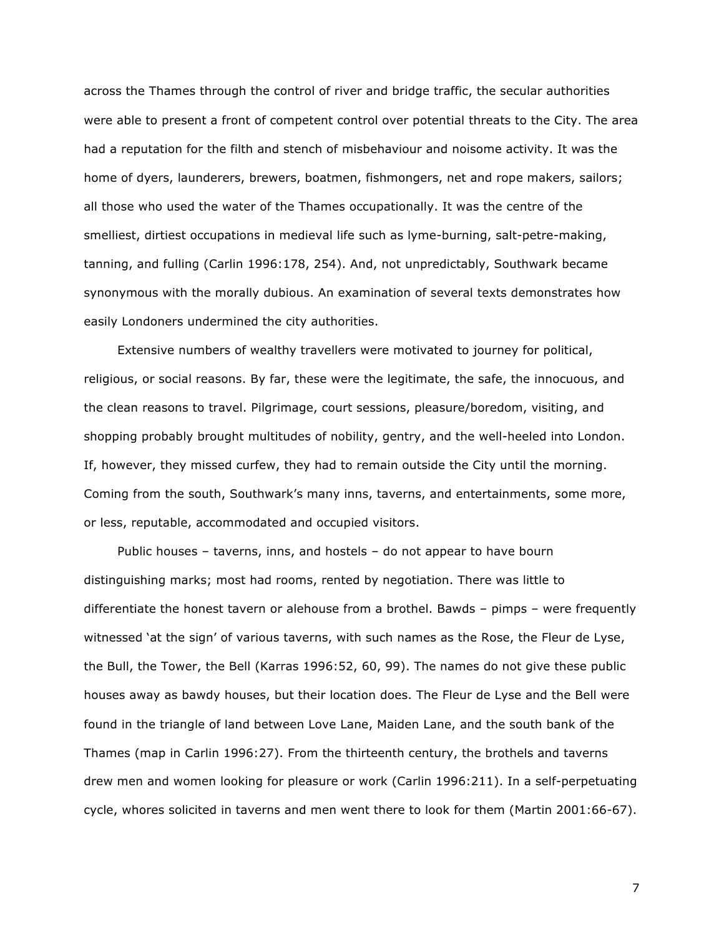across the Thames through the control of river and bridge traffic, the secular authorities were able to present a front of competent control over potential threats to the City. The area had a reputation for the filth and stench of misbehaviour and noisome activity. It was the home of dyers, launderers, brewers, boatmen, fishmongers, net and rope makers, sailors; all those who used the water of the Thames occupationally. It was the centre of the smelliest, dirtiest occupations in medieval life such as lyme-burning, salt-petre-making, tanning, and fulling (Carlin 1996:178, 254). And, not unpredictably, Southwark became synonymous with the morally dubious. An examination of several texts demonstrates how easily Londoners undermined the city authorities.

Extensive numbers of wealthy travellers were motivated to journey for political, religious, or social reasons. By far, these were the legitimate, the safe, the innocuous, and the clean reasons to travel. Pilgrimage, court sessions, pleasure/boredom, visiting, and shopping probably brought multitudes of nobility, gentry, and the well-heeled into London. If, however, they missed curfew, they had to remain outside the City until the morning. Coming from the south, Southwark's many inns, taverns, and entertainments, some more, or less, reputable, accommodated and occupied visitors.

Public houses – taverns, inns, and hostels – do not appear to have bourn distinguishing marks; most had rooms, rented by negotiation. There was little to differentiate the honest tavern or alehouse from a brothel. Bawds – pimps – were frequently witnessed 'at the sign' of various taverns, with such names as the Rose, the Fleur de Lyse, the Bull, the Tower, the Bell (Karras 1996:52, 60, 99). The names do not give these public houses away as bawdy houses, but their location does. The Fleur de Lyse and the Bell were found in the triangle of land between Love Lane, Maiden Lane, and the south bank of the Thames (map in Carlin 1996:27). From the thirteenth century, the brothels and taverns drew men and women looking for pleasure or work (Carlin 1996:211). In a self-perpetuating cycle, whores solicited in taverns and men went there to look for them (Martin 2001:66-67).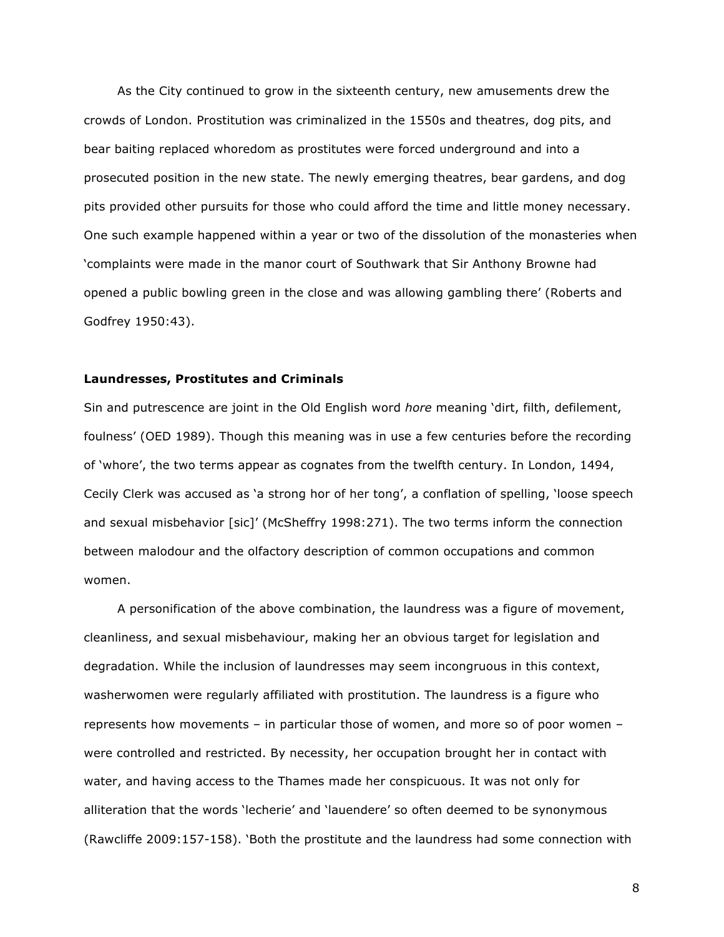As the City continued to grow in the sixteenth century, new amusements drew the crowds of London. Prostitution was criminalized in the 1550s and theatres, dog pits, and bear baiting replaced whoredom as prostitutes were forced underground and into a prosecuted position in the new state. The newly emerging theatres, bear gardens, and dog pits provided other pursuits for those who could afford the time and little money necessary. One such example happened within a year or two of the dissolution of the monasteries when 'complaints were made in the manor court of Southwark that Sir Anthony Browne had opened a public bowling green in the close and was allowing gambling there' (Roberts and Godfrey 1950:43).

#### **Laundresses, Prostitutes and Criminals**

Sin and putrescence are joint in the Old English word *hore* meaning 'dirt, filth, defilement, foulness' (OED 1989). Though this meaning was in use a few centuries before the recording of 'whore', the two terms appear as cognates from the twelfth century. In London, 1494, Cecily Clerk was accused as 'a strong hor of her tong', a conflation of spelling, 'loose speech and sexual misbehavior [sic]' (McSheffry 1998:271). The two terms inform the connection between malodour and the olfactory description of common occupations and common women.

A personification of the above combination, the laundress was a figure of movement, cleanliness, and sexual misbehaviour, making her an obvious target for legislation and degradation. While the inclusion of laundresses may seem incongruous in this context, washerwomen were regularly affiliated with prostitution. The laundress is a figure who represents how movements – in particular those of women, and more so of poor women – were controlled and restricted. By necessity, her occupation brought her in contact with water, and having access to the Thames made her conspicuous. It was not only for alliteration that the words 'lecherie' and 'lauendere' so often deemed to be synonymous (Rawcliffe 2009:157-158). 'Both the prostitute and the laundress had some connection with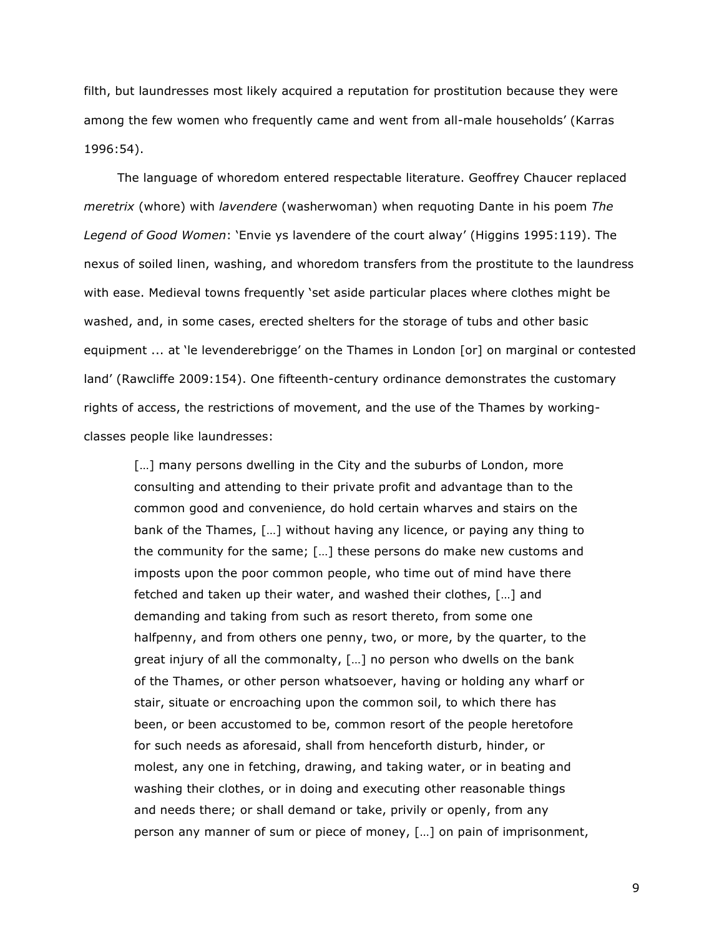filth, but laundresses most likely acquired a reputation for prostitution because they were among the few women who frequently came and went from all-male households' (Karras 1996:54).

The language of whoredom entered respectable literature. Geoffrey Chaucer replaced *meretrix* (whore) with *lavendere* (washerwoman) when requoting Dante in his poem *The Legend of Good Women*: 'Envie ys lavendere of the court alway' (Higgins 1995:119). The nexus of soiled linen, washing, and whoredom transfers from the prostitute to the laundress with ease. Medieval towns frequently 'set aside particular places where clothes might be washed, and, in some cases, erected shelters for the storage of tubs and other basic equipment ... at 'le levenderebrigge' on the Thames in London [or] on marginal or contested land' (Rawcliffe 2009:154). One fifteenth-century ordinance demonstrates the customary rights of access, the restrictions of movement, and the use of the Thames by workingclasses people like laundresses:

[...] many persons dwelling in the City and the suburbs of London, more consulting and attending to their private profit and advantage than to the common good and convenience, do hold certain wharves and stairs on the bank of the Thames, […] without having any licence, or paying any thing to the community for the same; […] these persons do make new customs and imposts upon the poor common people, who time out of mind have there fetched and taken up their water, and washed their clothes, […] and demanding and taking from such as resort thereto, from some one halfpenny, and from others one penny, two, or more, by the quarter, to the great injury of all the commonalty, […] no person who dwells on the bank of the Thames, or other person whatsoever, having or holding any wharf or stair, situate or encroaching upon the common soil, to which there has been, or been accustomed to be, common resort of the people heretofore for such needs as aforesaid, shall from henceforth disturb, hinder, or molest, any one in fetching, drawing, and taking water, or in beating and washing their clothes, or in doing and executing other reasonable things and needs there; or shall demand or take, privily or openly, from any person any manner of sum or piece of money, […] on pain of imprisonment,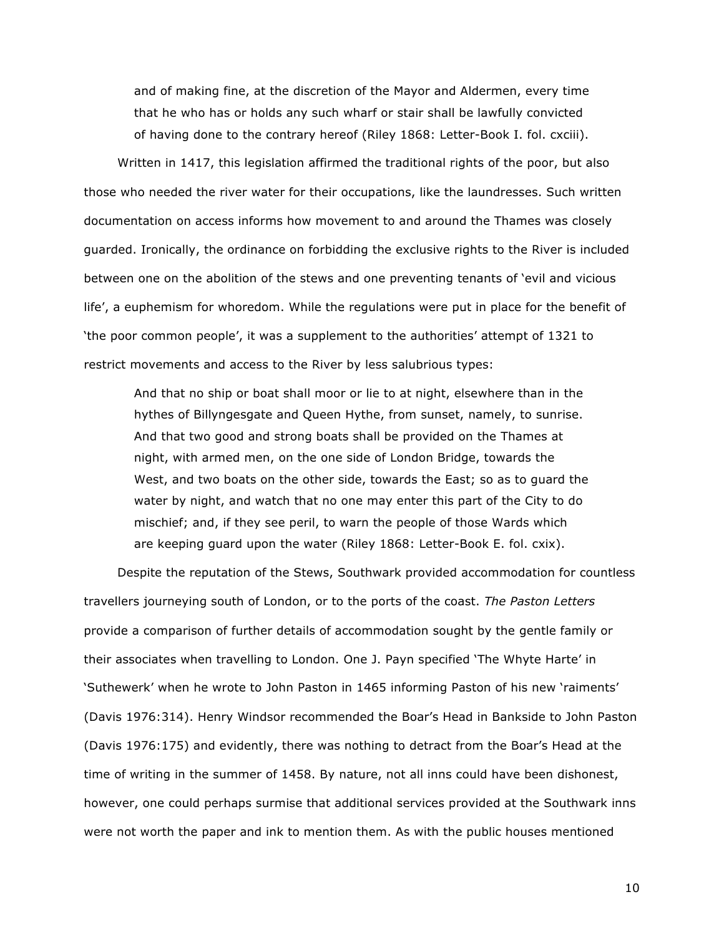and of making fine, at the discretion of the Mayor and Aldermen, every time that he who has or holds any such wharf or stair shall be lawfully convicted of having done to the contrary hereof (Riley 1868: Letter-Book I. fol. cxciii).

Written in 1417, this legislation affirmed the traditional rights of the poor, but also those who needed the river water for their occupations, like the laundresses. Such written documentation on access informs how movement to and around the Thames was closely guarded. Ironically, the ordinance on forbidding the exclusive rights to the River is included between one on the abolition of the stews and one preventing tenants of 'evil and vicious life', a euphemism for whoredom. While the regulations were put in place for the benefit of 'the poor common people', it was a supplement to the authorities' attempt of 1321 to restrict movements and access to the River by less salubrious types:

And that no ship or boat shall moor or lie to at night, elsewhere than in the hythes of Billyngesgate and Queen Hythe, from sunset, namely, to sunrise. And that two good and strong boats shall be provided on the Thames at night, with armed men, on the one side of London Bridge, towards the West, and two boats on the other side, towards the East; so as to guard the water by night, and watch that no one may enter this part of the City to do mischief; and, if they see peril, to warn the people of those Wards which are keeping guard upon the water (Riley 1868: Letter-Book E. fol. cxix).

Despite the reputation of the Stews, Southwark provided accommodation for countless travellers journeying south of London, or to the ports of the coast. *The Paston Letters* provide a comparison of further details of accommodation sought by the gentle family or their associates when travelling to London. One J. Payn specified 'The Whyte Harte' in 'Suthewerk' when he wrote to John Paston in 1465 informing Paston of his new 'raiments' (Davis 1976:314). Henry Windsor recommended the Boar's Head in Bankside to John Paston (Davis 1976:175) and evidently, there was nothing to detract from the Boar's Head at the time of writing in the summer of 1458. By nature, not all inns could have been dishonest, however, one could perhaps surmise that additional services provided at the Southwark inns were not worth the paper and ink to mention them. As with the public houses mentioned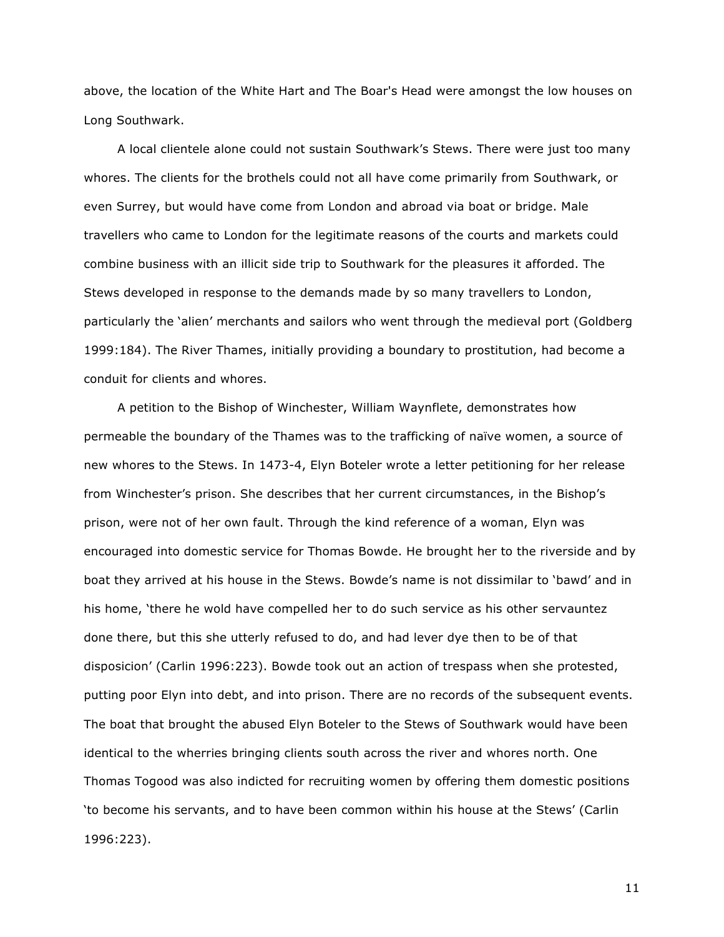above, the location of the White Hart and The Boar's Head were amongst the low houses on Long Southwark.

A local clientele alone could not sustain Southwark's Stews. There were just too many whores. The clients for the brothels could not all have come primarily from Southwark, or even Surrey, but would have come from London and abroad via boat or bridge. Male travellers who came to London for the legitimate reasons of the courts and markets could combine business with an illicit side trip to Southwark for the pleasures it afforded. The Stews developed in response to the demands made by so many travellers to London, particularly the 'alien' merchants and sailors who went through the medieval port (Goldberg 1999:184). The River Thames, initially providing a boundary to prostitution, had become a conduit for clients and whores.

A petition to the Bishop of Winchester, William Waynflete, demonstrates how permeable the boundary of the Thames was to the trafficking of naïve women, a source of new whores to the Stews. In 1473-4, Elyn Boteler wrote a letter petitioning for her release from Winchester's prison. She describes that her current circumstances, in the Bishop's prison, were not of her own fault. Through the kind reference of a woman, Elyn was encouraged into domestic service for Thomas Bowde. He brought her to the riverside and by boat they arrived at his house in the Stews. Bowde's name is not dissimilar to 'bawd' and in his home, 'there he wold have compelled her to do such service as his other servauntez done there, but this she utterly refused to do, and had lever dye then to be of that disposicion' (Carlin 1996:223). Bowde took out an action of trespass when she protested, putting poor Elyn into debt, and into prison. There are no records of the subsequent events. The boat that brought the abused Elyn Boteler to the Stews of Southwark would have been identical to the wherries bringing clients south across the river and whores north. One Thomas Togood was also indicted for recruiting women by offering them domestic positions 'to become his servants, and to have been common within his house at the Stews' (Carlin 1996:223).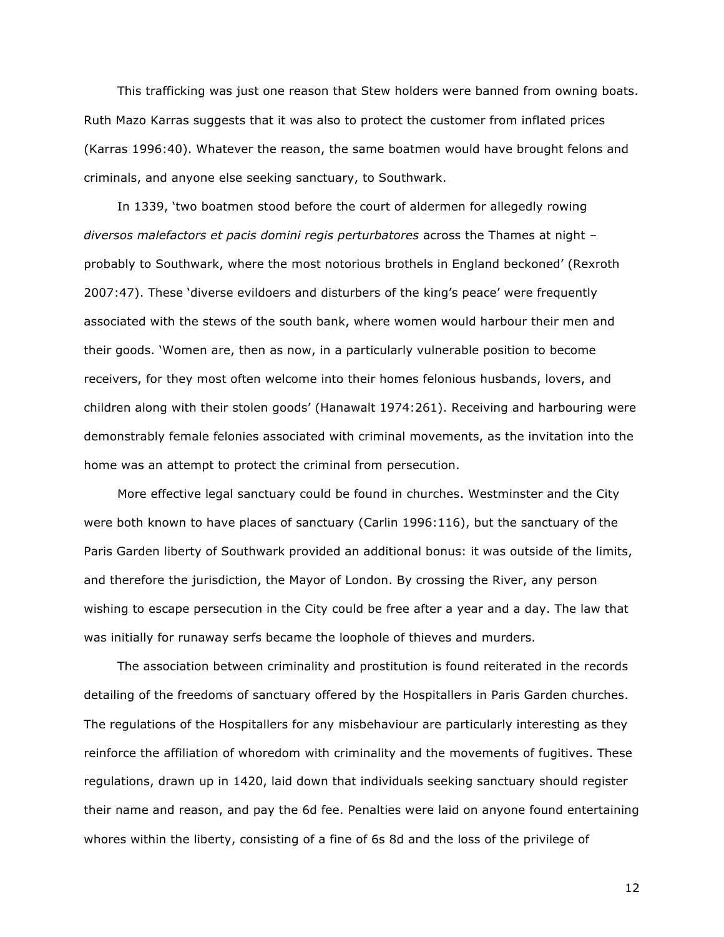This trafficking was just one reason that Stew holders were banned from owning boats. Ruth Mazo Karras suggests that it was also to protect the customer from inflated prices (Karras 1996:40). Whatever the reason, the same boatmen would have brought felons and criminals, and anyone else seeking sanctuary, to Southwark.

In 1339, 'two boatmen stood before the court of aldermen for allegedly rowing *diversos malefactors et pacis domini regis perturbatores* across the Thames at night – probably to Southwark, where the most notorious brothels in England beckoned' (Rexroth 2007:47). These 'diverse evildoers and disturbers of the king's peace' were frequently associated with the stews of the south bank, where women would harbour their men and their goods. 'Women are, then as now, in a particularly vulnerable position to become receivers, for they most often welcome into their homes felonious husbands, lovers, and children along with their stolen goods' (Hanawalt 1974:261). Receiving and harbouring were demonstrably female felonies associated with criminal movements, as the invitation into the home was an attempt to protect the criminal from persecution.

More effective legal sanctuary could be found in churches. Westminster and the City were both known to have places of sanctuary (Carlin 1996:116), but the sanctuary of the Paris Garden liberty of Southwark provided an additional bonus: it was outside of the limits, and therefore the jurisdiction, the Mayor of London. By crossing the River, any person wishing to escape persecution in the City could be free after a year and a day. The law that was initially for runaway serfs became the loophole of thieves and murders.

The association between criminality and prostitution is found reiterated in the records detailing of the freedoms of sanctuary offered by the Hospitallers in Paris Garden churches. The regulations of the Hospitallers for any misbehaviour are particularly interesting as they reinforce the affiliation of whoredom with criminality and the movements of fugitives. These regulations, drawn up in 1420, laid down that individuals seeking sanctuary should register their name and reason, and pay the 6d fee. Penalties were laid on anyone found entertaining whores within the liberty, consisting of a fine of 6s 8d and the loss of the privilege of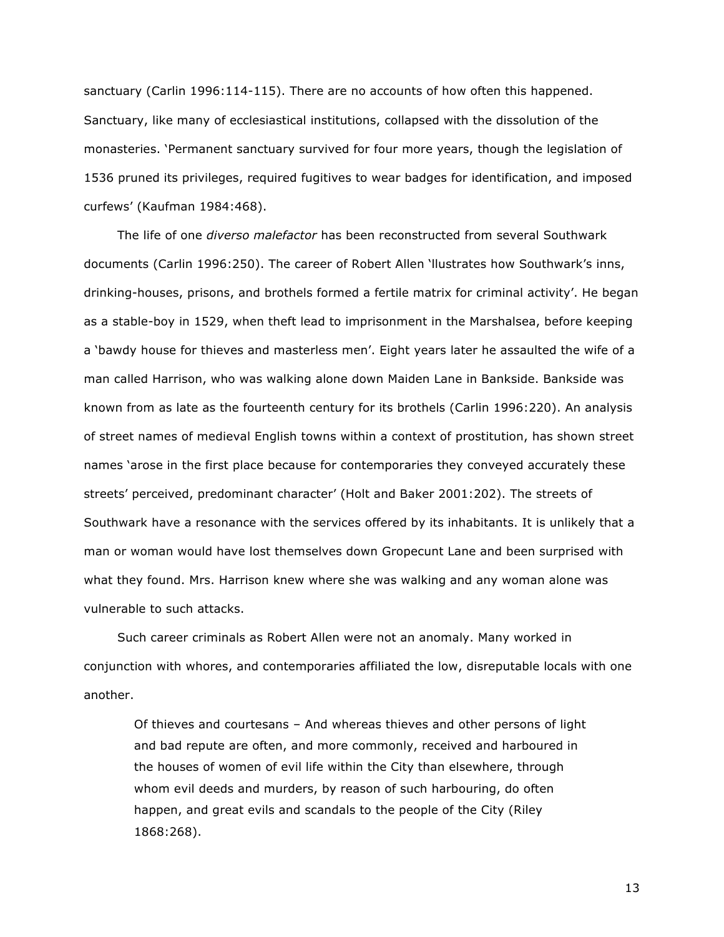sanctuary (Carlin 1996:114-115). There are no accounts of how often this happened. Sanctuary, like many of ecclesiastical institutions, collapsed with the dissolution of the monasteries. 'Permanent sanctuary survived for four more years, though the legislation of 1536 pruned its privileges, required fugitives to wear badges for identification, and imposed curfews' (Kaufman 1984:468).

The life of one *diverso malefactor* has been reconstructed from several Southwark documents (Carlin 1996:250). The career of Robert Allen 'llustrates how Southwark's inns, drinking-houses, prisons, and brothels formed a fertile matrix for criminal activity'. He began as a stable-boy in 1529, when theft lead to imprisonment in the Marshalsea, before keeping a 'bawdy house for thieves and masterless men'. Eight years later he assaulted the wife of a man called Harrison, who was walking alone down Maiden Lane in Bankside. Bankside was known from as late as the fourteenth century for its brothels (Carlin 1996:220). An analysis of street names of medieval English towns within a context of prostitution, has shown street names 'arose in the first place because for contemporaries they conveyed accurately these streets' perceived, predominant character' (Holt and Baker 2001:202). The streets of Southwark have a resonance with the services offered by its inhabitants. It is unlikely that a man or woman would have lost themselves down Gropecunt Lane and been surprised with what they found. Mrs. Harrison knew where she was walking and any woman alone was vulnerable to such attacks.

Such career criminals as Robert Allen were not an anomaly. Many worked in conjunction with whores, and contemporaries affiliated the low, disreputable locals with one another.

Of thieves and courtesans – And whereas thieves and other persons of light and bad repute are often, and more commonly, received and harboured in the houses of women of evil life within the City than elsewhere, through whom evil deeds and murders, by reason of such harbouring, do often happen, and great evils and scandals to the people of the City (Riley 1868:268).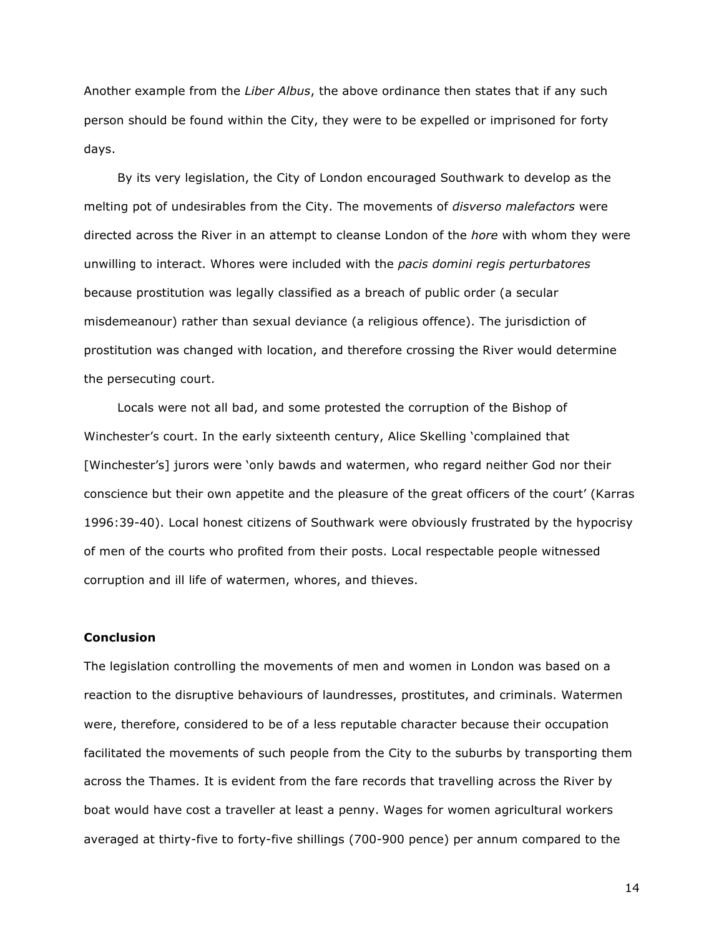Another example from the *Liber Albus*, the above ordinance then states that if any such person should be found within the City, they were to be expelled or imprisoned for forty days.

By its very legislation, the City of London encouraged Southwark to develop as the melting pot of undesirables from the City. The movements of *disverso malefactors* were directed across the River in an attempt to cleanse London of the *hore* with whom they were unwilling to interact. Whores were included with the *pacis domini regis perturbatores* because prostitution was legally classified as a breach of public order (a secular misdemeanour) rather than sexual deviance (a religious offence). The jurisdiction of prostitution was changed with location, and therefore crossing the River would determine the persecuting court.

Locals were not all bad, and some protested the corruption of the Bishop of Winchester's court. In the early sixteenth century, Alice Skelling 'complained that [Winchester's] jurors were 'only bawds and watermen, who regard neither God nor their conscience but their own appetite and the pleasure of the great officers of the court' (Karras 1996:39-40). Local honest citizens of Southwark were obviously frustrated by the hypocrisy of men of the courts who profited from their posts. Local respectable people witnessed corruption and ill life of watermen, whores, and thieves.

## **Conclusion**

The legislation controlling the movements of men and women in London was based on a reaction to the disruptive behaviours of laundresses, prostitutes, and criminals. Watermen were, therefore, considered to be of a less reputable character because their occupation facilitated the movements of such people from the City to the suburbs by transporting them across the Thames. It is evident from the fare records that travelling across the River by boat would have cost a traveller at least a penny. Wages for women agricultural workers averaged at thirty-five to forty-five shillings (700-900 pence) per annum compared to the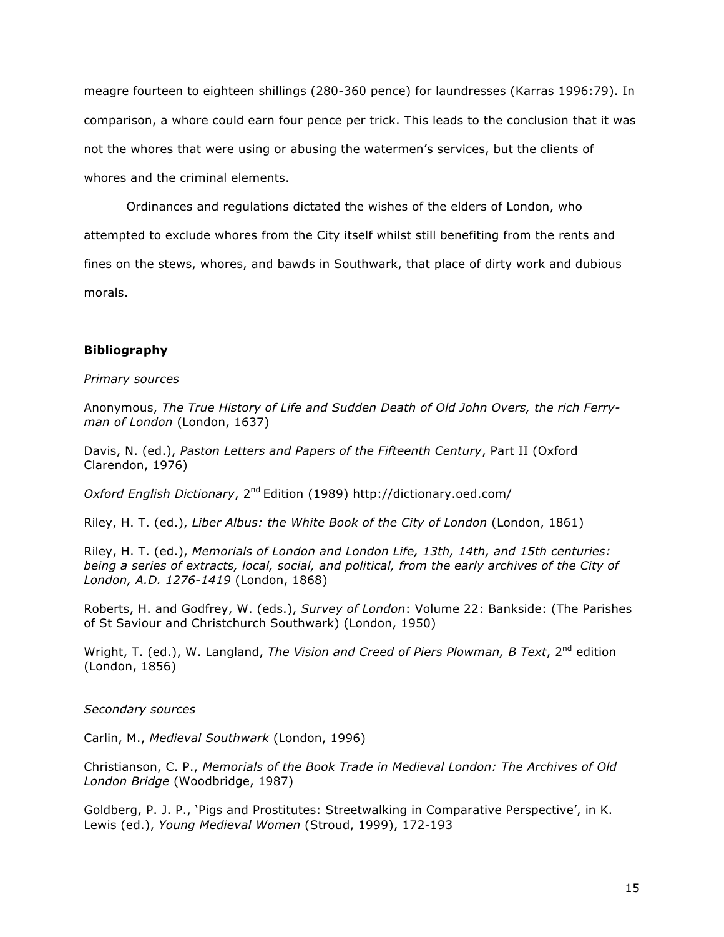meagre fourteen to eighteen shillings (280-360 pence) for laundresses (Karras 1996:79). In comparison, a whore could earn four pence per trick. This leads to the conclusion that it was not the whores that were using or abusing the watermen's services, but the clients of whores and the criminal elements.

Ordinances and regulations dictated the wishes of the elders of London, who attempted to exclude whores from the City itself whilst still benefiting from the rents and fines on the stews, whores, and bawds in Southwark, that place of dirty work and dubious morals.

## **Bibliography**

#### *Primary sources*

Anonymous, *The True History of Life and Sudden Death of Old John Overs, the rich Ferryman of London* (London, 1637)

Davis, N. (ed.), *Paston Letters and Papers of the Fifteenth Century*, Part II (Oxford Clarendon, 1976)

*Oxford English Dictionary*, 2nd Edition (1989) http://dictionary.oed.com/

Riley, H. T. (ed.), *Liber Albus: the White Book of the City of London* (London, 1861)

Riley, H. T. (ed.), *Memorials of London and London Life, 13th, 14th, and 15th centuries: being a series of extracts, local, social, and political, from the early archives of the City of London, A.D. 1276-1419* (London, 1868)

Roberts, H. and Godfrey, W. (eds.), *Survey of London*: Volume 22: Bankside: (The Parishes of St Saviour and Christchurch Southwark) (London, 1950)

Wright, T. (ed.), W. Langland, *The Vision and Creed of Piers Plowman, B Text*, 2<sup>nd</sup> edition (London, 1856)

*Secondary sources*

Carlin, M., *Medieval Southwark* (London, 1996)

Christianson, C. P., *Memorials of the Book Trade in Medieval London: The Archives of Old London Bridge* (Woodbridge, 1987)

Goldberg, P. J. P., 'Pigs and Prostitutes: Streetwalking in Comparative Perspective', in K. Lewis (ed.), *Young Medieval Women* (Stroud, 1999), 172-193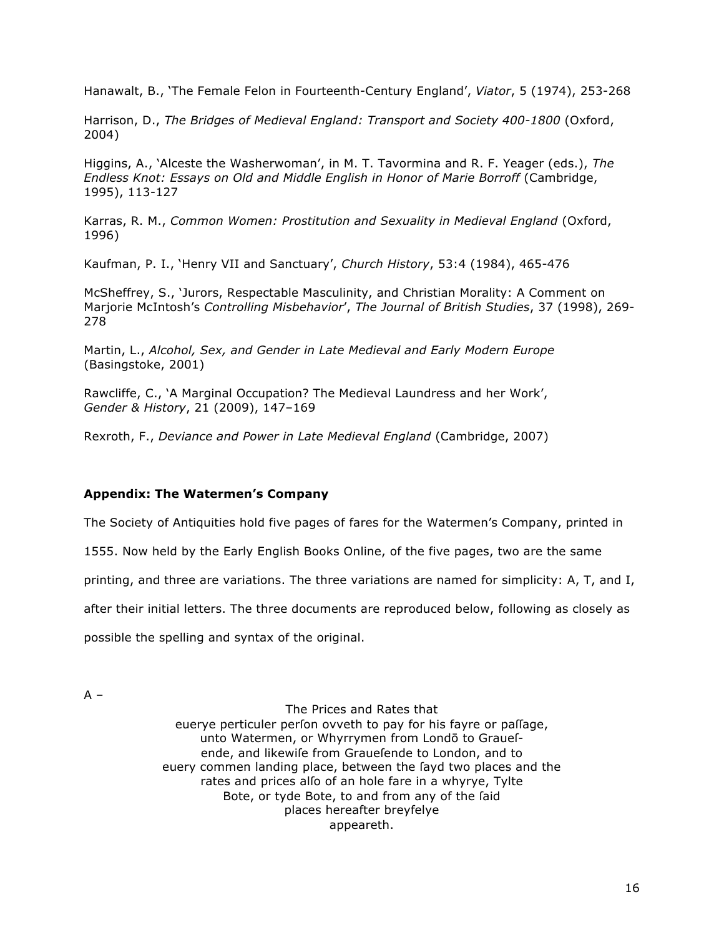Hanawalt, B., 'The Female Felon in Fourteenth-Century England', Viator, 5 (1974), 253-268

Harrison, D., The Bridges of Medieval England: Transport and Society 400-1800 (Oxford, 2004)

Higgins, A., 'Alceste the Washerwoman', in M. T. Tavormina and R. F. Yeager (eds.), The Endless Knot: Essays on Old and Middle English in Honor of Marie Borroff (Cambridge, 1995), 113-127

Karras, R. M., Common Women: Prostitution and Sexuality in Medieval England (Oxford, 1996)

Kaufman, P. I., 'Henry VII and Sanctuary', Church History, 53:4 (1984), 465-476

McSheffrey, S., 'Jurors, Respectable Masculinity, and Christian Morality: A Comment on Marjorie McIntosh's Controlling Misbehavior', The Journal of British Studies, 37 (1998), 269-278

Martin, L., Alcohol, Sex, and Gender in Late Medieval and Early Modern Europe (Basingstoke, 2001)

Rawcliffe, C., 'A Marginal Occupation? The Medieval Laundress and her Work', Gender & History, 21 (2009), 147-169

Rexroth, F., Deviance and Power in Late Medieval England (Cambridge, 2007)

## **Appendix: The Watermen's Company**

The Society of Antiquities hold five pages of fares for the Watermen's Company, printed in

1555. Now held by the Early English Books Online, of the five pages, two are the same

printing, and three are variations. The three variations are named for simplicity: A, T, and I,

after their initial letters. The three documents are reproduced below, following as closely as

possible the spelling and syntax of the original.

 $A -$ 

The Prices and Rates that euerve perticuler perfon ovveth to pay for his favre or paffage, unto Watermen, or Whyrrymen from Londō to Grauefende, and likewife from Grauefende to London, and to euery commen landing place, between the fayd two places and the rates and prices alfo of an hole fare in a whyrye, Tylte Bote, or tyde Bote, to and from any of the faid places hereafter breyfelye appeareth.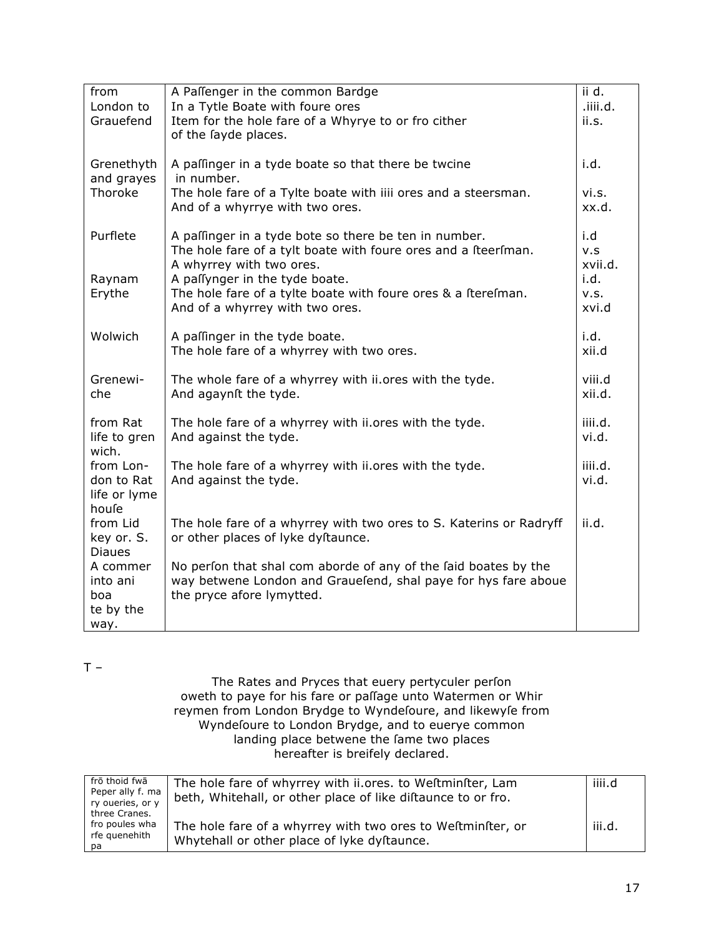| from                        | A Paffenger in the common Bardge                                                                | ii d.         |
|-----------------------------|-------------------------------------------------------------------------------------------------|---------------|
| London to                   | In a Tytle Boate with foure ores                                                                | .iiii.d.      |
| Grauefend                   | Item for the hole fare of a Whyrye to or fro cither                                             | ii.s.         |
|                             | of the fayde places.                                                                            |               |
| Grenethyth                  | A paffinger in a tyde boate so that there be twcine                                             | i.d.          |
| and grayes                  | in number.                                                                                      |               |
| Thoroke                     | The hole fare of a Tylte boate with iiii ores and a steersman.                                  | vi.s.         |
|                             | And of a whyrrye with two ores.                                                                 | xx.d.         |
|                             |                                                                                                 |               |
| Purflete                    | A paffinger in a tyde bote so there be ten in number.                                           | i.d           |
|                             | The hole fare of a tylt boate with foure ores and a Iteerlman.                                  | v.s           |
|                             | A whyrrey with two ores.                                                                        | xvii.d.       |
| Raynam                      | A paffynger in the tyde boate.<br>The hole fare of a tylte boate with foure ores & a Iterelman. | i.d.          |
| Erythe                      | And of a whyrrey with two ores.                                                                 | v.s.<br>xvi.d |
|                             |                                                                                                 |               |
| Wolwich                     | A paffinger in the tyde boate.                                                                  | i.d.          |
|                             | The hole fare of a whyrrey with two ores.                                                       | xii.d         |
|                             |                                                                                                 |               |
| Grenewi-                    | The whole fare of a whyrrey with ii.ores with the tyde.                                         | viii.d        |
| che                         | And agaynit the tyde.                                                                           | xii.d.        |
| from Rat                    | The hole fare of a whyrrey with ii.ores with the tyde.                                          | iiii.d.       |
| life to gren                | And against the tyde.                                                                           | vi.d.         |
| wich.                       |                                                                                                 |               |
| from Lon-                   | The hole fare of a whyrrey with ii.ores with the tyde.                                          | iiii.d.       |
| don to Rat                  | And against the tyde.                                                                           | vi.d.         |
| life or lyme                |                                                                                                 |               |
| houfe                       |                                                                                                 |               |
| from Lid                    | The hole fare of a whyrrey with two ores to S. Katerins or Radryff                              | ii.d.         |
| key or. S.<br><b>Diaues</b> | or other places of lyke dyftaunce.                                                              |               |
| A commer                    | No perfon that shal com aborde of any of the faid boates by the                                 |               |
| into ani                    | way betwene London and Grauelend, shal paye for hys fare aboue                                  |               |
| boa                         | the pryce afore lymytted.                                                                       |               |
| te by the                   |                                                                                                 |               |
| way.                        |                                                                                                 |               |

 $T -$ 

The Rates and Pryces that euery pertyculer perfon oweth to paye for his fare or pallage unto Watermen or Whir reymen from London Brydge to Wyndefoure, and likewyfe from<br>Wyndefoure to London Brydge, and to euerye common landing place betwene the fame two places hereafter is breifely declared.

| frō thoid fwā    | The hole fare of whyrrey with ii.ores. to Weftminfter, Lam   | iiii.d |
|------------------|--------------------------------------------------------------|--------|
| Peper ally f. ma | beth, Whitehall, or other place of like diftaunce to or fro. |        |
| ry oueries, or y |                                                              |        |
| three Cranes.    |                                                              |        |
| fro poules wha   | The hole fare of a whyrrey with two ores to Weftminfter, or  | iii.d. |
| rfe guenehith    | Whytehall or other place of lyke dyftaunce.                  |        |
| рa               |                                                              |        |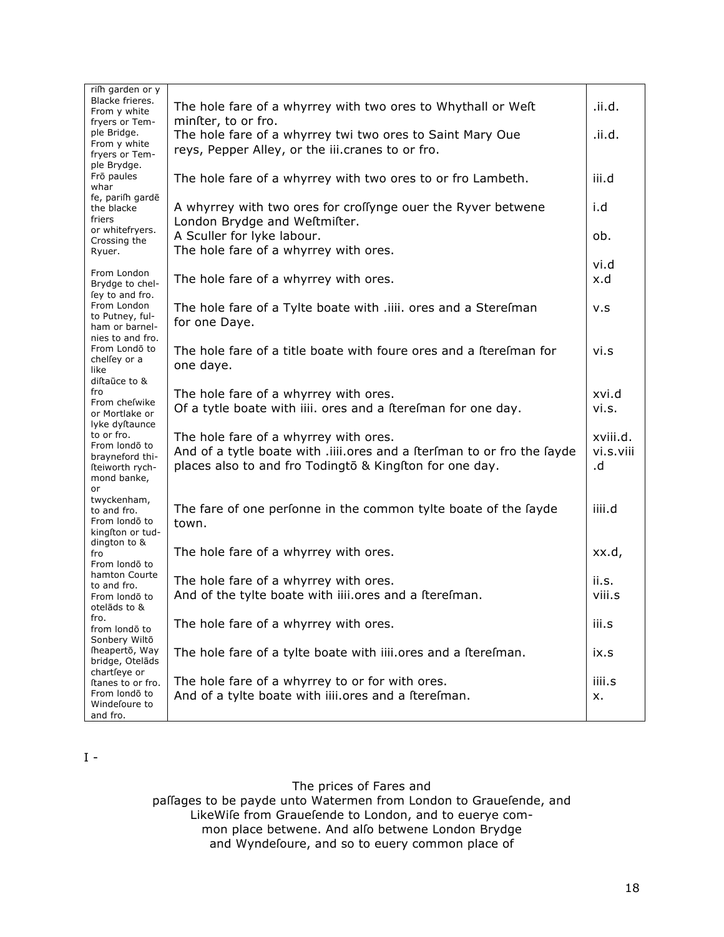| rifh garden or y<br>Blacke frieres.<br>From y white                              | The hole fare of a whyrrey with two ores to Whythall or Weft                                                                                                                | .ii.d.                      |
|----------------------------------------------------------------------------------|-----------------------------------------------------------------------------------------------------------------------------------------------------------------------------|-----------------------------|
| fryers or Tem-<br>ple Bridge.<br>From y white<br>fryers or Tem-                  | minfter, to or fro.<br>The hole fare of a whyrrey twi two ores to Saint Mary Oue<br>reys, Pepper Alley, or the iii.cranes to or fro.                                        | .ii.d.                      |
| ple Brydge.<br>Frō paules<br>whar                                                | The hole fare of a whyrrey with two ores to or fro Lambeth.                                                                                                                 | iii.d                       |
| fe, parifh gardē<br>the blacke<br>friers                                         | A whyrrey with two ores for croffynge ouer the Ryver betwene<br>London Brydge and Weftmifter.                                                                               | i.d                         |
| or whitefryers.<br>Crossing the<br>Ryuer.                                        | A Sculler for lyke labour.<br>The hole fare of a whyrrey with ores.                                                                                                         | ob.                         |
| From London<br>Brydge to chel-                                                   | The hole fare of a whyrrey with ores.                                                                                                                                       | vi.d<br>x.d                 |
| fey to and fro.<br>From London<br>to Putney, ful-<br>ham or barnel-              | The hole fare of a Tylte boate with .iiii. ores and a Sterefman<br>for one Daye.                                                                                            | v.s                         |
| nies to and fro.<br>From Londo to<br>chelfey or a<br>like<br>diftaūce to &       | The hole fare of a title boate with foure ores and a fterefman for<br>one daye.                                                                                             | vi.s                        |
| fro<br>From chefwike<br>or Mortlake or<br>lyke dyftaunce                         | The hole fare of a whyrrey with ores.<br>Of a tytle boate with iiii. ores and a fterefman for one day.                                                                      | xvi.d<br>vi.s.              |
| to or fro.<br>From londo to<br>brayneford thi-<br>fteiworth rych-<br>mond banke, | The hole fare of a whyrrey with ores.<br>And of a tytle boate with .iiii.ores and a fterfman to or fro the fayde<br>places also to and fro Todingto & Kingiton for one day. | xviii.d.<br>vi.s.viii<br>.d |
| or<br>twyckenham,<br>to and fro.<br>From londo to<br>kingston or tud-            | The fare of one perfonne in the common tylte boate of the fayde<br>town.                                                                                                    | iiii.d                      |
| dington to &<br>fro<br>From londo to                                             | The hole fare of a whyrrey with ores.                                                                                                                                       | xx.d,                       |
| hamton Courte<br>to and fro.<br>From londo to<br>otelāds to &                    | The hole fare of a whyrrey with ores.<br>And of the tylte boate with iiii.ores and a fterefman.                                                                             | ii.s.<br>viii.s             |
| fro.<br>from londō to<br>Sonbery Wilto                                           | The hole fare of a whyrrey with ores.                                                                                                                                       | iii.s                       |
| fheapertō, Way<br>bridge, Otelāds<br>chartfeye or                                | The hole fare of a tylte boate with iiii.ores and a fterefman.                                                                                                              | ix.s                        |
| ftanes to or fro.<br>From londo to<br>Windefoure to<br>and fro.                  | The hole fare of a whyrrey to or for with ores.<br>And of a tylte boate with iiii.ores and a fterefman.                                                                     | iiii.s<br>x.                |

 $\mathbf I$  -

The prices of Fares and

pallages to be payde unto Watermen from London to Grauelende, and LikeWife from Grauefende to London, and to euerye common place betwene. And alſo betwene London Brydge and Wyndeſoure, and so to euery common place of